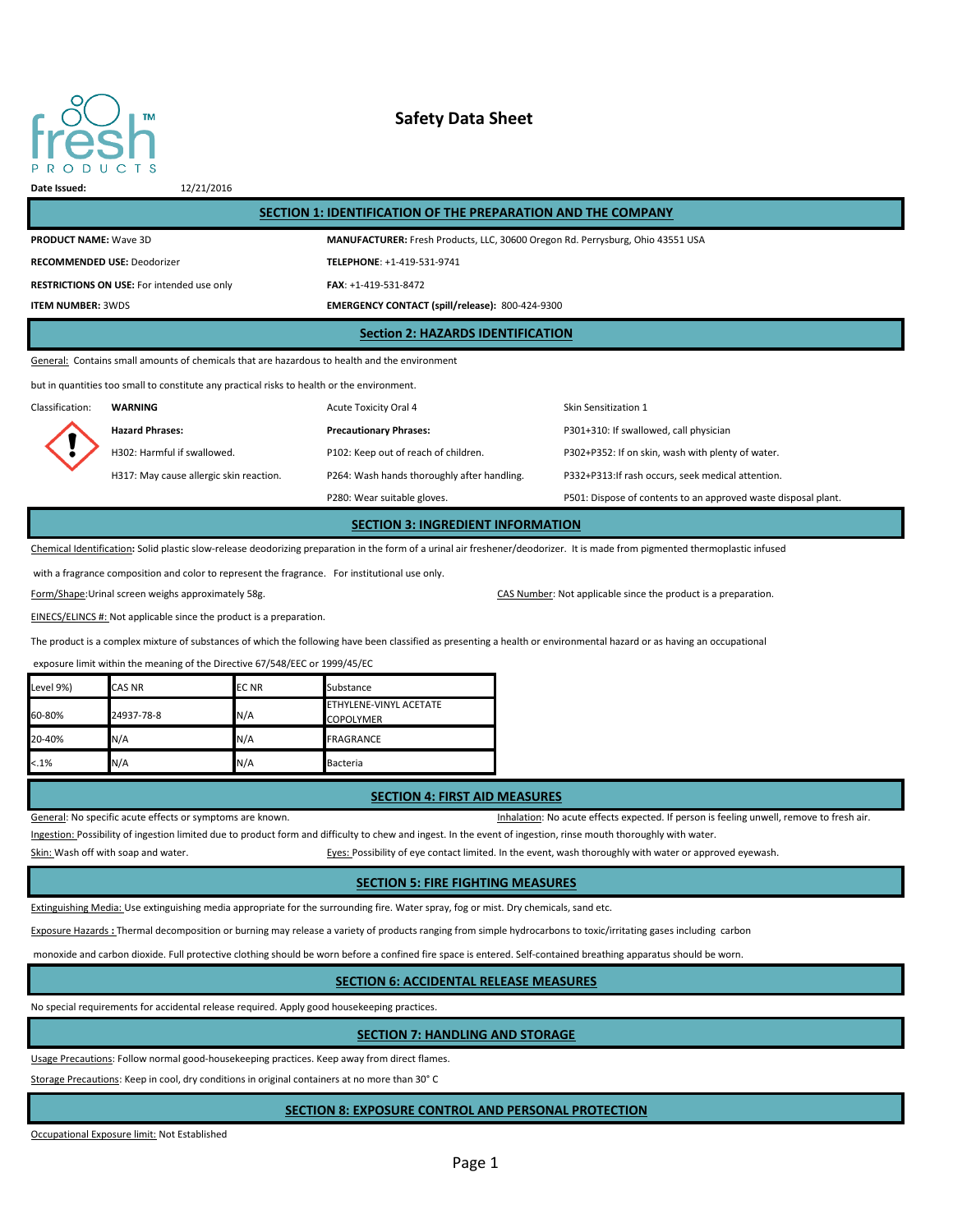

# **Safety Data Sheet**

**Date Issued:** 12/21/2016

| SECTION 1: IDENTIFICATION OF THE PREPARATION AND THE COMPANY                                  |                                                                                |  |  |  |
|-----------------------------------------------------------------------------------------------|--------------------------------------------------------------------------------|--|--|--|
| <b>PRODUCT NAME: Wave 3D</b>                                                                  | MANUFACTURER: Fresh Products, LLC, 30600 Oregon Rd. Perrysburg, Ohio 43551 USA |  |  |  |
| <b>RECOMMENDED USE: Deodorizer</b>                                                            | TELEPHONE: +1-419-531-9741                                                     |  |  |  |
| <b>RESTRICTIONS ON USE:</b> For intended use only                                             | FAX: +1-419-531-8472                                                           |  |  |  |
| <b>ITEM NUMBER: 3WDS</b>                                                                      | EMERGENCY CONTACT (spill/release): 800-424-9300                                |  |  |  |
| <b>Section 2: HAZARDS IDENTIFICATION</b>                                                      |                                                                                |  |  |  |
| General: Contains small amounts of chemicals that are hazardous to health and the environment |                                                                                |  |  |  |

but in quantities too small to constitute any practical risks to health or the environment.

| P501: Dispose of contents to an approved waste disposal plant. |
|----------------------------------------------------------------|
|                                                                |

**SECTION 3: INGREDIENT INFORMATION**

Chemical Identification**:** Solid plastic slow-release deodorizing preparation in the form of a urinal air freshener/deodorizer. It is made from pigmented thermoplastic infused

with a fragrance composition and color to represent the fragrance. For institutional use only.

Form/Shape:Urinal screen weighs approximately 58g. The state of the state of the state of the product is a preparation.

EINECS/ELINCS #: Not applicable since the product is a preparation.

The product is a complex mixture of substances of which the following have been classified as presenting a health or environmental hazard or as having an occupational

exposure limit within the meaning of the Directive 67/548/EEC or 1999/45/EC

| Level 9%) | <b>CAS NR</b> | <b>ECNR</b> | Substance                                  |
|-----------|---------------|-------------|--------------------------------------------|
| 60-80%    | 24937-78-8    | N/A         | ETHYLENE-VINYL ACETATE<br><b>COPOLYMER</b> |
| 20-40%    | N/A           | N/A         | <b>FRAGRANCE</b>                           |
| $< 1\%$   | N/A           | N/A         | <b>Bacteria</b>                            |

#### **SECTION 4: FIRST AID MEASURES**

General: No specific acute effects or symptoms are known. The structure of the structure of resh air. Inhalation: No acute effects expected. If person is feeling unwell, remove to fresh air. Ingestion: Possibility of ingestion limited due to product form and difficulty to chew and ingest. In the event of ingestion, rinse mouth thoroughly with water.

Skin: Wash off with soap and water. The state of the state of the event of eye contact limited. In the event, wash thoroughly with water or approved eyewash.

### **SECTION 5: FIRE FIGHTING MEASURES**

Extinguishing Media: Use extinguishing media appropriate for the surrounding fire. Water spray, fog or mist. Dry chemicals, sand etc.

Exposure Hazards **:** Thermal decomposition or burning may release a variety of products ranging from simple hydrocarbons to toxic/irritating gases including carbon

monoxide and carbon dioxide. Full protective clothing should be worn before a confined fire space is entered. Self-contained breathing apparatus should be worn.

### **SECTION 6: ACCIDENTAL RELEASE MEASURES**

No special requirements for accidental release required. Apply good housekeeping practices.

### **SECTION 7: HANDLING AND STORAGE**

Usage Precautions: Follow normal good-housekeeping practices. Keep away from direct flames.

Storage Precautions: Keep in cool, dry conditions in original containers at no more than 30° C

## **SECTION 8: EXPOSURE CONTROL AND PERSONAL PROTECTION**

Occupational Exposure limit: Not Established